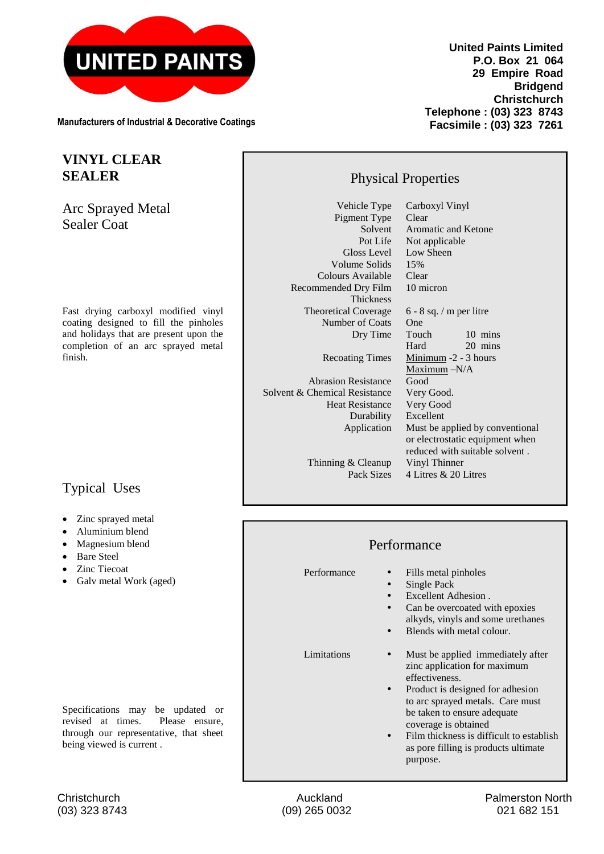

**Manufacturers of Industrial & Decorative Coatings**

## **VINYL CLEAR SEALER**

Arc Sprayed Metal Sealer Coat

Fast drying carboxyl modified vinyl coating designed to fill the pinholes and holidays that are present upon the completion of an arc sprayed metal finish.

## Typical Uses

- Zinc sprayed metal
- Aluminium blend
- Magnesium blend
- Bare Steel
- Zinc Tiecoat
- Galv metal Work (aged)

Specifications may be updated or revised at times. Please ensure, through our representative, that sheet being viewed is current .

**United Paints Limited P.O. Box 21 064 29 Empire Road Bridgend Christchurch Telephone : (03) 323 8743 Facsimile : (03) 323 7261**

## Physical Properties

Vehicle Type Carboxyl Vinyl Pigment Type<br>Solvent Volume Solids 15% Colours Available Clear Recommended Dry Film 10 micron Thickness<br>Theoretical Coverage Number of Coats One

Solvent Aromatic and Ketone<br>Pot Life Not applicable Not applicable Gloss Level Low Sheen  $6 - 8$  sq. / m per litre Dry Time Touch 10 mins Hard 20 mins Recoating Times Minimum -2 - 3 hours Maximum -N/A Abrasion Resistance Good Solvent & Chemical Resistance Very Good. Heat Resistance Durability Excellent Application Must be applied by conventional or electrostatic equipment when reduced with suitable solvent .

Thinning & Cleanup Vinyl Thinner<br>Pack Sizes 4 Litres & 201

## Performance

Performance • Fills metal pinholes

 $4$  Litres  $\&$  20 Litres

- Single Pack
- Excellent Adhesion .
- Can be overcoated with epoxies alkyds, vinyls and some urethanes
- Blends with metal colour.

- Limitations Must be applied immediately after zinc application for maximum effectiveness.
	- Product is designed for adhesion to arc sprayed metals. Care must be taken to ensure adequate coverage is obtained
	- Film thickness is difficult to establish as pore filling is products ultimate purpose.